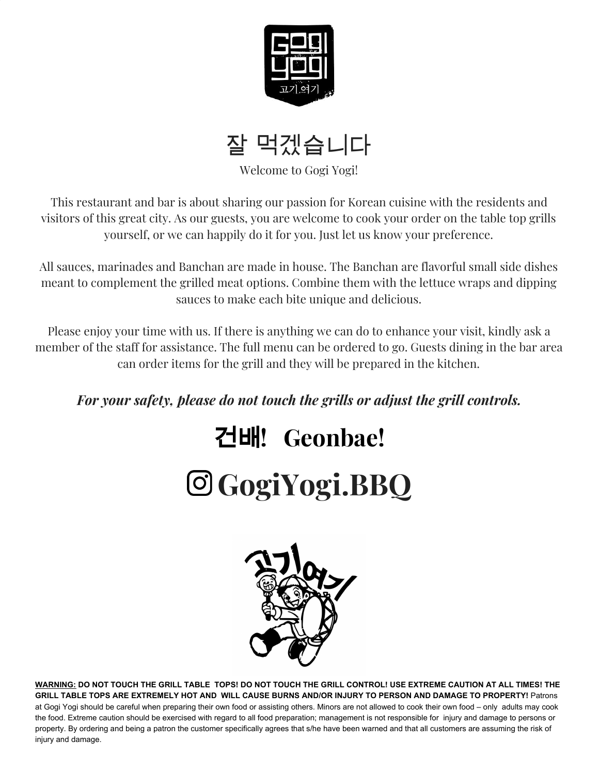



Welcome to Gogi Yogi!

This restaurant and bar is about sharing our passion for Korean cuisine with the residents and visitors of this great city. As our guests, you are welcome to cook your order on the table top grills yourself, or we can happily do it for you. Just let us know your preference.

All sauces, marinades and Banchan are made in house. The Banchan are flavorful small side dishes meant to complement the grilled meat options. Combine them with the lettuce wraps and dipping sauces to make each bite unique and delicious.

Please enjoy your time with us. If there is anything we can do to enhance your visit, kindly ask a member of the staff for assistance. The full menu can be ordered to go. Guests dining in the bar area can order items for the grill and they will be prepared in the kitchen.

# *For your safety, please do not touch the grills or adjust the grill controls.*

# 건배**! Geonbae! GogiYogi.BBQ**



WARNING: DO NOT TOUCH THE GRILL TABLE TOPS! DO NOT TOUCH THE GRILL CONTROL! USE EXTREME CAUTION AT ALL TIMES! THE GRILL TABLE TOPS ARE EXTREMELY HOT AND WILL CAUSE BURNS AND/OR INJURY TO PERSON AND DAMAGE TO PROPERTY! Patrons at Gogi Yogi should be careful when preparing their own food or assisting others. Minors are not allowed to cook their own food – only adults may cook the food. Extreme caution should be exercised with regard to all food preparation; management is not responsible for injury and damage to persons or property. By ordering and being a patron the customer specifically agrees that s/he have been warned and that all customers are assuming the risk of injury and damage.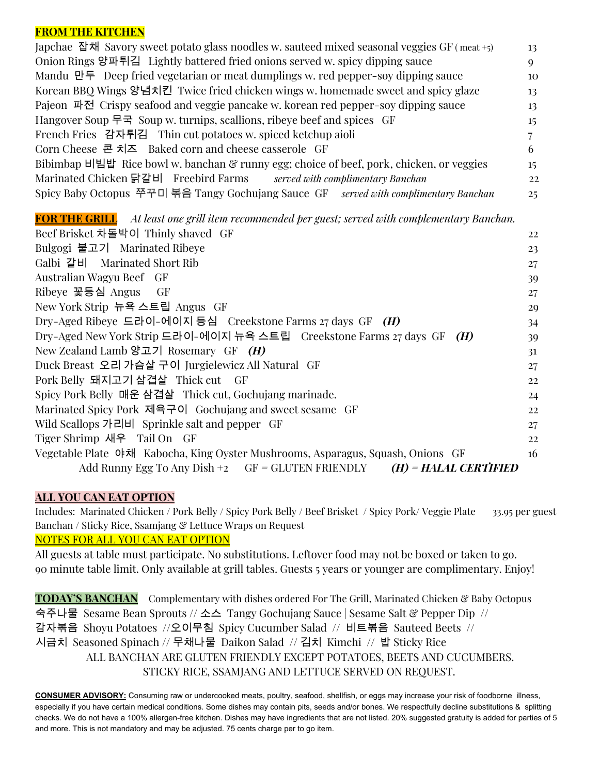#### **FROM THE KITCHEN**

Japchae 잡채 Savory sweet potato glass noodles w. sauteed mixed seasonal veggies GF ( meat +5) 13 Onion Rings 양파튀김 Lightly battered fried onions served w. spicy dipping sauce 9 Mandu 만두 Deep fried vegetarian or meat dumplings w. red pepper-soy dipping sauce 10 Korean BBQ Wings 양념치킨 Twice fried chicken wings w. homemade sweet and spicy glaze 13 Pajeon 파전 Crispy seafood and veggie pancake w. korean red pepper-soy dipping sauce 13 Hangover Soup 무국 Soup w. turnips, scallions, ribeye beef and spices GF 15 French Fries 감자튀김 Thin cut potatoes w. spiced ketchup aioli 7 Corn Cheese 콘 치즈 Baked corn and cheese casserole GF 6 6 Bibimbap 비빔밥 Rice bowl w. banchan  $\mathcal{C}$  runny egg; choice of beef, pork, chicken, or veggies 15 Marinated Chicken 닭갈비 Freebird Farms *served with complimentary Banchan* 22 Spicy Baby Octopus 쭈꾸미 볶음 Tangy Gochujang Sauce GF *served with complimentary Banchan* 25

**FOR THE GRILL** *At least one grill item recommended per guest; served with complementary Banchan.*

| Beef Brisket 차돌박이 Thinly shaved GF                                              | 22 |
|---------------------------------------------------------------------------------|----|
| Bulgogi 불고기 Marinated Ribeye                                                    | 23 |
| Galbi 갈비 Marinated Short Rib                                                    | 27 |
| Australian Wagyu Beef GF                                                        | 39 |
| Ribeye 꽃등심 Angus GF                                                             | 27 |
| New York Strip 뉴욕 스트립 Angus GF                                                  | 29 |
| Dry-Aged Ribeye 드라이-에이지 등심 Creekstone Farms 27 days GF $(H)$                    | 34 |
| Dry-Aged New York Strip 드라이-에이지 뉴욕 스트립 - Creekstone Farms 27 days GF (H)        | 39 |
| New Zealand Lamb 양고기 Rosemary GF $(H)$                                          | 31 |
| Duck Breast 오리 가슴살 구이 Jurgielewicz All Natural GF                               | 27 |
| Pork Belly 돼지고기 삼겹살 Thick cut GF                                                | 22 |
| Spicy Pork Belly 매운 삼겹살 Thick cut, Gochujang marinade.                          | 24 |
| Marinated Spicy Pork 제육구이 Gochujang and sweet sesame GF                         | 22 |
| Wild Scallops 가리비 Sprinkle salt and pepper GF                                   | 27 |
| Tiger Shrimp 새우 Tail On GF                                                      | 22 |
| Vegetable Plate 야채 Kabocha, King Oyster Mushrooms, Asparagus, Squash, Onions GF | 16 |
| Add Runny Egg To Any Dish +2 $GF = GLUTEN$ FRIENDLY $(H) = HALAL$ CERTIFIED     |    |

### **ALL YOU CAN EAT OPTION**

Includes: Marinated Chicken / Pork Belly / Spicy Pork Belly / Beef Brisket / Spicy Pork/ Veggie Plate 33.95 per guest Banchan / Sticky Rice, Ssamjang & Lettuce Wraps on Request

### NOTES FOR ALL YOU CAN EAT OPTION

All guests at table must participate. No substitutions. Leftover food may not be boxed or taken to go. 90 minute table limit. Only available at grill tables. Guests 5 years or younger are complimentary. Enjoy!

**TODAY'S BANCHAN** Complementary with dishes ordered For The Grill, Marinated Chicken & Baby Octopus 숙주나물 Sesame Bean Sprouts // 소스 Tangy Gochujang Sauce | Sesame Salt & Pepper Dip // 감자볶음 Shoyu Potatoes //오이무침 Spicy Cucumber Salad // 비트볶음 Sauteed Beets // 시금치 Seasoned Spinach // 무채나물 Daikon Salad // 김치 Kimchi // 밥 Sticky Rice ALL BANCHAN ARE GLUTEN FRIENDLY EXCEPT POTATOES, BEETS AND CUCUMBERS. STICKY RICE, SSAMJANG AND LETTUCE SERVED ON REQUEST.

**CONSUMER ADVISORY:** Consuming raw or undercooked meats, poultry, seafood, shellfish, or eggs may increase your risk of foodborne illness, especially if you have certain medical conditions. Some dishes may contain pits, seeds and/or bones. We respectfully decline substitutions & splitting checks. We do not have a 100% allergen-free kitchen. Dishes may have ingredients that are not listed. 20% suggested gratuity is added for parties of 5 and more. This is not mandatory and may be adjusted. 75 cents charge per to go item.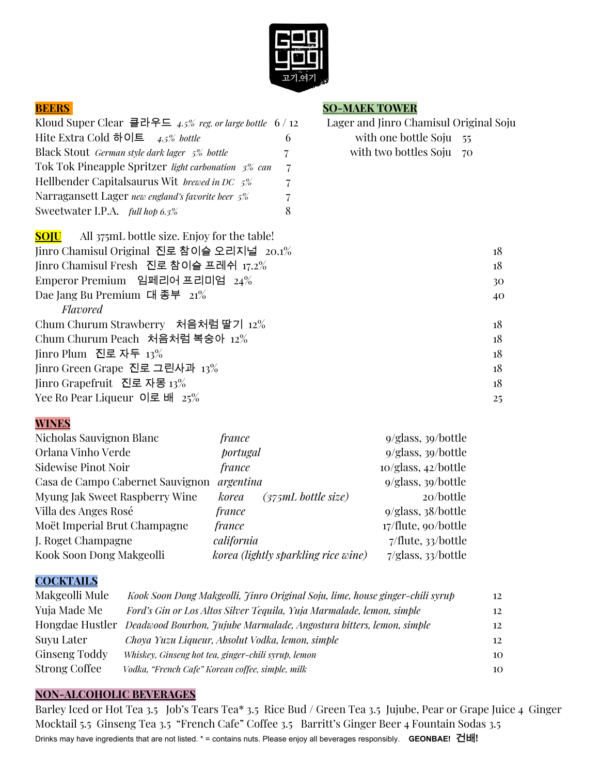

| Kloud Super Clear 클라우드 4.5% reg. or large bottle 6/1 |    |
|------------------------------------------------------|----|
| Hite Extra Cold 하이트 $\quad$ 4.5% bottle              | 6  |
| Black Stout German style dark lager 5% bottle        | 7. |
| Tok Tok Pineapple Spritzer light carbonation 3% can  | 7  |
| Hellbender Capital saurus Wit brewed in DC $5\%$     | 7  |
| Narragansett Lager new england's favorite beer 5%    | 7  |
| Sweetwater I.P.A. <i>full hop 6.3%</i>               | 8  |

#### **BEERS SO-MAEK TOWER**

| DELIU                                                      | <b>DO MEMBRIO WER</b>                  |
|------------------------------------------------------------|----------------------------------------|
| Kloud Super Clear 클라우드 4.5% reg. or large bottle 6/12      | Lager and Jinro Chamisul Original Soju |
| Hite Extra Cold 하이트 $\quad$ 4.5% bottle<br>6               | with one bottle Soju<br>55             |
| Black Stout German style dark lager 5% bottle              | with two bottles Soju<br>70            |
| Tok Tok Pineapple Spritzer light carbonation 3% can<br>7   |                                        |
| Hellbender Capitalsaurus Wit brewed in DC 5%<br>7          |                                        |
| Narragansett Lager new england's favorite beer 5%          |                                        |
| Sweetwater I.P.A. <i>full hop 6.3%</i><br>8                |                                        |
| All 375mL bottle size. Enjoy for the table!<br><b>SOJU</b> |                                        |
| Jinro Chamisul Original 진로 참이슬 오리지널 20.1%                  | 18                                     |
| Jinro Chamisul Fresh 진로 참이슬 프레쉬 17.2%                      | 18                                     |
| Emperor Premium 임페리어 프리미엄 24%                              | 30                                     |
| Dae Jang Bu Premium 대 종부 $21\%$                            | 40                                     |
| <b>Flavored</b>                                            |                                        |
| Chum Churum Strawberry 처음처럼 딸기 12%                         | 18                                     |
| Chum Churum Peach 처음처럼 복숭아 12%                             | 18                                     |
| Jinro Plum 진로 자두 13%                                       | 18                                     |
| Jinro Green Grape 진로 그린사과 13%                              | 18                                     |
| Jinro Grapefruit 진로 자몽 13%                                 | 18                                     |
| Yee Ro Pear Liqueur 이로 배 $25\%$                            | 25                                     |

#### **WINES**

| Nicholas Sauvignon Blanc         | france                              | $9/g$ lass, $39/b$ ottle        |
|----------------------------------|-------------------------------------|---------------------------------|
| Orlana Vinho Verde               | portugal                            | $9/g$ lass, $39/b$ ottle        |
| <b>Sidewise Pinot Noir</b>       | <i>france</i>                       | $10$ /glass, $42$ /bottle       |
| Casa de Campo Cabernet Sauvignon | argentina                           | $9/g$ lass, $39/b$ ottle        |
| Myung Jak Sweet Raspberry Wine   | $(375mL$ bottle size)<br>korea      | 20/bottle                       |
| Villa des Anges Rosé             | <i>france</i>                       | $9/g$ lass, $38/b$ ottle        |
| Moët Imperial Brut Champagne     | <i>france</i>                       | 17/flute, 90/bottle             |
| J. Roget Champagne               | california                          | $7$ <i>flute</i> , $33/b$ ottle |
| Kook Soon Dong Makgeolli         | korea (lightly sparkling rice wine) | 7/glass, 33/bottle              |

#### **COCKTAILS**

| Makgeolli Mule | Kook Soon Dong Makgeolli, Jinro Original Soju, lime, house ginger-chili syrup        | 12 |
|----------------|--------------------------------------------------------------------------------------|----|
| Yuja Made Me   | Ford's Gin or Los Altos Silver Tequila, Yuja Marmalade, lemon, simple                | 12 |
|                | Hongdae Hustler Deadwood Bourbon, Jujube Marmalade, Angostura bitters, lemon, simple | 12 |
| Suyu Later     | Choya Yuzu Liqueur, Absolut Vodka, lemon, simple                                     | 12 |
| Ginseng Toddy  | Whiskey, Ginseng hot tea, ginger-chili syrup, lemon                                  | 10 |
| Strong Coffee  | Vodka, "French Cafe" Korean coffee, simple, milk                                     | 10 |

#### **NON-ALCOHOLIC BEVERAGES**

Barley Iced or Hot Tea 3.5 Job's Tears Tea\* 3.5 Rice Bud / Green Tea 3.5 Jujube, Pear or Grape Juice 4 Ginger Mocktail 5.5 Ginseng Tea 3.5 "French Cafe" Coffee 3.5 Barritt's Ginger Beer 4 Fountain Sodas 3.5 Drinks may have ingredients that are not listed. \* = contains nuts. Please enjoy all beverages responsibly. **GEONBAE!** 건배**!**